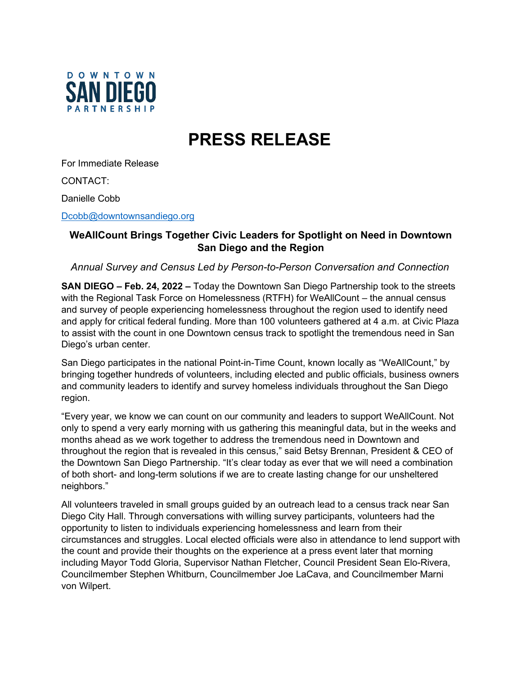

## **PRESS RELEASE**

For Immediate Release

CONTACT:

Danielle Cobb

[Dcobb@downtownsandiego.org](mailto:Dcobb@downtownsandiego.org)

## **WeAllCount Brings Together Civic Leaders for Spotlight on Need in Downtown San Diego and the Region**

*Annual Survey and Census Led by Person-to-Person Conversation and Connection*

**SAN DIEGO – Feb. 24, 2022 –** Today the Downtown San Diego Partnership took to the streets with the Regional Task Force on Homelessness (RTFH) for WeAllCount – the annual census and survey of people experiencing homelessness throughout the region used to identify need and apply for critical federal funding. More than 100 volunteers gathered at 4 a.m. at Civic Plaza to assist with the count in one Downtown census track to spotlight the tremendous need in San Diego's urban center.

San Diego participates in the national Point-in-Time Count, known locally as "WeAllCount," by bringing together hundreds of volunteers, including elected and public officials, business owners and community leaders to identify and survey homeless individuals throughout the San Diego region.

"Every year, we know we can count on our community and leaders to support WeAllCount. Not only to spend a very early morning with us gathering this meaningful data, but in the weeks and months ahead as we work together to address the tremendous need in Downtown and throughout the region that is revealed in this census," said Betsy Brennan, President & CEO of the Downtown San Diego Partnership. "It's clear today as ever that we will need a combination of both short- and long-term solutions if we are to create lasting change for our unsheltered neighbors."

All volunteers traveled in small groups guided by an outreach lead to a census track near San Diego City Hall. Through conversations with willing survey participants, volunteers had the opportunity to listen to individuals experiencing homelessness and learn from their circumstances and struggles. Local elected officials were also in attendance to lend support with the count and provide their thoughts on the experience at a press event later that morning including Mayor Todd Gloria, Supervisor Nathan Fletcher, Council President Sean Elo-Rivera, Councilmember Stephen Whitburn, Councilmember Joe LaCava, and Councilmember Marni von Wilpert.